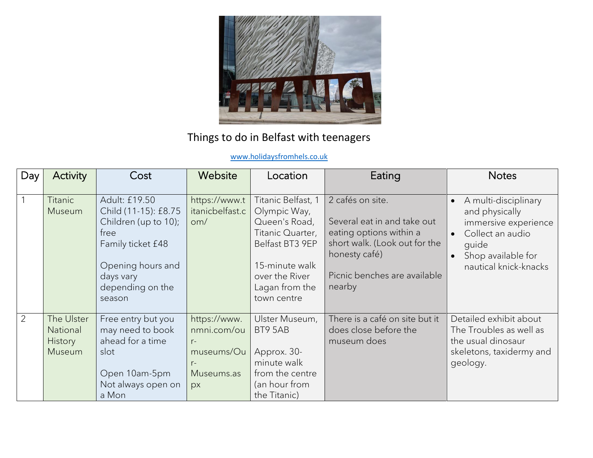

## Things to do in Belfast with teenagers

## [www.holidaysfromhels.co.uk](http://www.holidaysfromhels.co.uk/)

| Day | Activity                                    | Cost                                                                                                                                                       | Website                                                                       | Location                                                                                                                                                        | Eating                                                                                                                                                                 | <b>Notes</b>                                                                                                                               |
|-----|---------------------------------------------|------------------------------------------------------------------------------------------------------------------------------------------------------------|-------------------------------------------------------------------------------|-----------------------------------------------------------------------------------------------------------------------------------------------------------------|------------------------------------------------------------------------------------------------------------------------------------------------------------------------|--------------------------------------------------------------------------------------------------------------------------------------------|
|     | <b>Titanic</b><br>Museum                    | Adult: £19.50<br>Child (11-15): £8.75<br>Children (up to 10);<br>free<br>Family ticket £48<br>Opening hours and<br>days vary<br>depending on the<br>season | https://www.t<br>itanicbelfast.c<br>om/                                       | Titanic Belfast, 1<br>Olympic Way,<br>Queen's Road,<br>Titanic Quarter,<br>Belfast BT3 9EP<br>15-minute walk<br>over the River<br>Lagan from the<br>town centre | 2 cafés on site.<br>Several eat in and take out<br>eating options within a<br>short walk. (Look out for the<br>honesty café)<br>Picnic benches are available<br>nearby | A multi-disciplinary<br>and physically<br>immersive experience<br>Collect an audio<br>quide<br>Shop available for<br>nautical knick-knacks |
| 2   | The Ulster<br>National<br>History<br>Museum | Free entry but you<br>may need to book<br>ahead for a time<br>slot<br>Open 10am-5pm<br>Not always open on<br>a Mon                                         | https://www.<br>nmni.com/ou<br>$r-$<br>museums/Ou<br>$r-$<br>Museums.as<br>px | Ulster Museum,<br>BT9 5AB<br>Approx. 30-<br>minute walk<br>from the centre<br>(an hour from<br>the Titanic)                                                     | There is a café on site but it<br>does close before the<br>museum does                                                                                                 | Detailed exhibit about<br>The Troubles as well as<br>the usual dinosaur<br>skeletons, taxidermy and<br>geology.                            |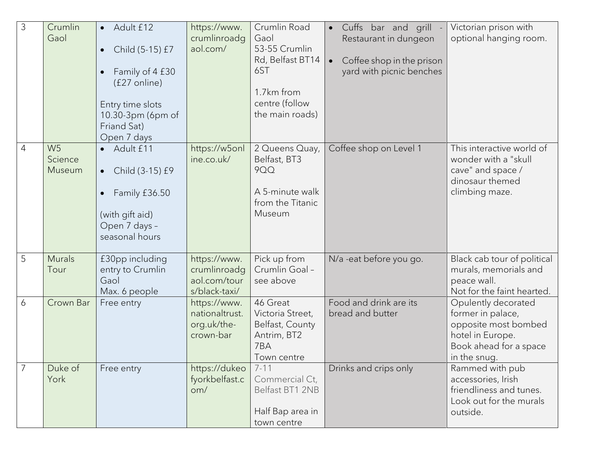| 3 | Crumlin<br>Gaol                     | Adult £12<br>$\bullet$<br>Child (5-15) £7<br>$\bullet$<br>Family of 4 £30<br>(£27 online)<br>Entry time slots<br>10.30-3pm (6pm of<br>Friand Sat)<br>Open 7 days | https://www.<br>crumlinroadg<br>aol.com/                      | Crumlin Road<br>Gaol<br>53-55 Crumlin<br>Rd, Belfast BT14<br>6ST<br>1.7km from<br>centre (follow<br>the main roads) | Cuffs bar and grill<br>$\bullet$<br>Restaurant in dungeon<br>Coffee shop in the prison<br>$\bullet$<br>yard with picnic benches | Victorian prison with<br>optional hanging room.                                                                                |
|---|-------------------------------------|------------------------------------------------------------------------------------------------------------------------------------------------------------------|---------------------------------------------------------------|---------------------------------------------------------------------------------------------------------------------|---------------------------------------------------------------------------------------------------------------------------------|--------------------------------------------------------------------------------------------------------------------------------|
| 4 | W <sub>5</sub><br>Science<br>Museum | • Adult £11<br>Child (3-15) £9<br>$\bullet$<br>Family £36.50<br>(with gift aid)<br>Open 7 days -<br>seasonal hours                                               | https://w5onl<br>ine.co.uk/                                   | 2 Queens Quay,<br>Belfast, BT3<br><b>9QQ</b><br>A 5-minute walk<br>from the Titanic<br>Museum                       | Coffee shop on Level 1                                                                                                          | This interactive world of<br>wonder with a "skull<br>cave" and space /<br>dinosaur themed<br>climbing maze.                    |
| 5 | <b>Murals</b><br>Tour               | £30pp including<br>entry to Crumlin<br>Gaol<br>Max. 6 people                                                                                                     | https://www.<br>crumlinroadg<br>aol.com/tour<br>s/black-taxi/ | Pick up from<br>Crumlin Goal -<br>see above                                                                         | N/a -eat before you go.                                                                                                         | Black cab tour of political<br>murals, memorials and<br>peace wall.<br>Not for the faint hearted.                              |
| 6 | Crown Bar                           | Free entry                                                                                                                                                       | https://www.<br>nationaltrust.<br>org.uk/the-<br>crown-bar    | 46 Great<br>Victoria Street,<br>Belfast, County<br>Antrim, BT2<br>7BA<br>Town centre                                | Food and drink are its<br>bread and butter                                                                                      | Opulently decorated<br>former in palace,<br>opposite most bombed<br>hotel in Europe.<br>Book ahead for a space<br>in the snug. |
|   | Duke of<br>York                     | Free entry                                                                                                                                                       | https://dukeo<br>fyorkbelfast.c<br>om/                        | $7 - 11$<br>Commercial Ct,<br>Belfast BT1 2NB<br>Half Bap area in<br>town centre                                    | Drinks and crips only                                                                                                           | Rammed with pub<br>accessories, Irish<br>friendliness and tunes.<br>Look out for the murals<br>outside.                        |